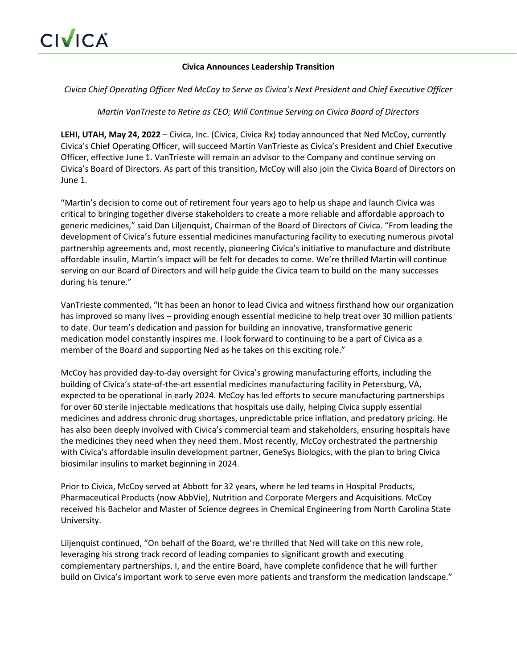## **Civica Announces Leadership Transition**

*Civica Chief Operating Officer Ned McCoy to Serve as Civica's Next President and Chief Executive Officer*

*Martin VanTrieste to Retire as CEO; Will Continue Serving on Civica Board of Directors*

**LEHI, UTAH, May 24, 2022** – Civica, Inc. (Civica, Civica Rx) today announced that Ned McCoy, currently Civica's Chief Operating Officer, will succeed Martin VanTrieste as Civica's President and Chief Executive Officer, effective June 1. VanTrieste will remain an advisor to the Company and continue serving on Civica's Board of Directors. As part of this transition, McCoy will also join the Civica Board of Directors on June 1.

"Martin's decision to come out of retirement four years ago to help us shape and launch Civica was critical to bringing together diverse stakeholders to create a more reliable and affordable approach to generic medicines," said Dan Liljenquist, Chairman of the Board of Directors of Civica. "From leading the development of Civica's future essential medicines manufacturing facility to executing numerous pivotal partnership agreements and, most recently, pioneering Civica's initiative to manufacture and distribute affordable insulin, Martin's impact will be felt for decades to come. We're thrilled Martin will continue serving on our Board of Directors and will help guide the Civica team to build on the many successes during his tenure."

VanTrieste commented, "It has been an honor to lead Civica and witness firsthand how our organization has improved so many lives – providing enough essential medicine to help treat over 30 million patients to date. Our team's dedication and passion for building an innovative, transformative generic medication model constantly inspires me. I look forward to continuing to be a part of Civica as a member of the Board and supporting Ned as he takes on this exciting role."

McCoy has provided day-to-day oversight for Civica's growing manufacturing efforts, including the building of Civica's state-of-the-art essential medicines manufacturing facility in Petersburg, VA, expected to be operational in early 2024. McCoy has led efforts to secure manufacturing partnerships for over 60 sterile injectable medications that hospitals use daily, helping Civica supply essential medicines and address chronic drug shortages, unpredictable price inflation, and predatory pricing. He has also been deeply involved with Civica's commercial team and stakeholders, ensuring hospitals have the medicines they need when they need them. Most recently, McCoy orchestrated the partnership with Civica's affordable insulin development partner, GeneSys Biologics, with the plan to bring Civica biosimilar insulins to market beginning in 2024.

Prior to Civica, McCoy served at Abbott for 32 years, where he led teams in Hospital Products, Pharmaceutical Products (now AbbVie), Nutrition and Corporate Mergers and Acquisitions. McCoy received his Bachelor and Master of Science degrees in Chemical Engineering from North Carolina State University.

Liljenquist continued, "On behalf of the Board, we're thrilled that Ned will take on this new role, leveraging his strong track record of leading companies to significant growth and executing complementary partnerships. I, and the entire Board, have complete confidence that he will further build on Civica's important work to serve even more patients and transform the medication landscape."